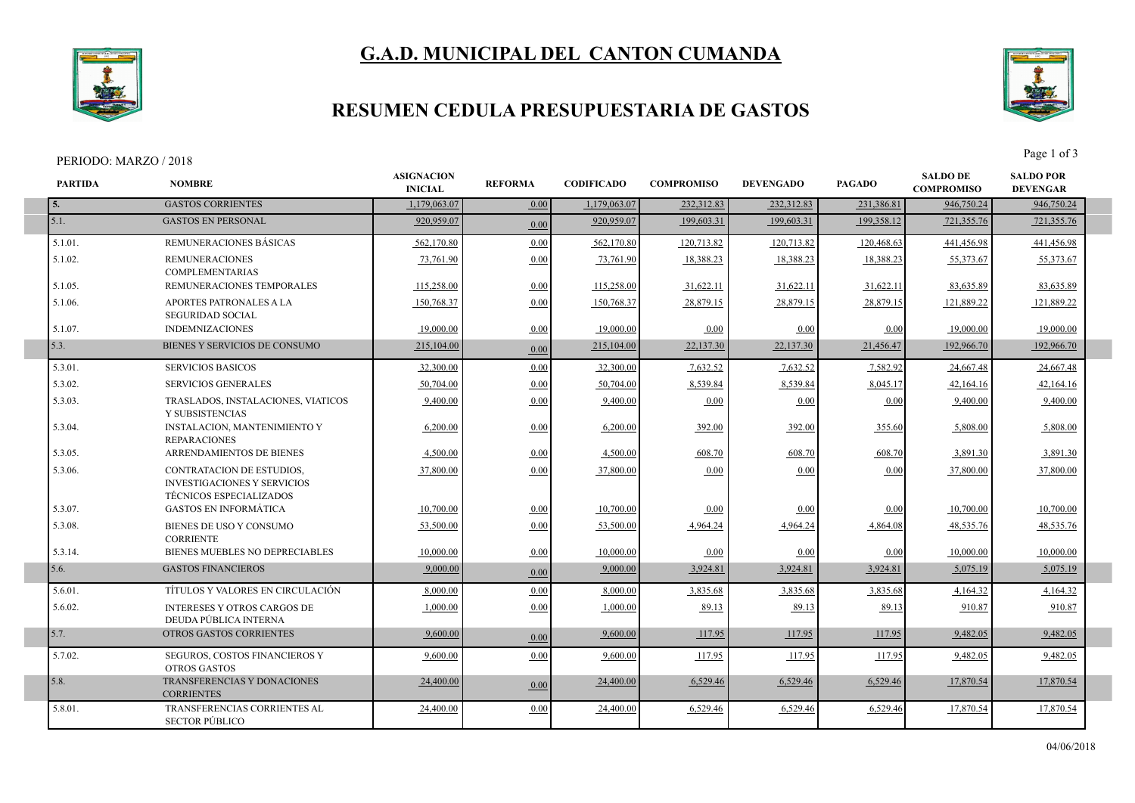# **G.A.D. MUNICIPAL DEL CANTON CUMANDA**



### **RESUMEN CEDULA PRESUPUESTARIA DE GASTOS**

#### PERIODO: MARZO / 2018 Page 1 of 3



| <b>PARTIDA</b> | <b>NOMBRE</b>                                                                                            | <b>ASIGNACION</b><br><b>INICIAL</b> | <b>REFORMA</b> | <b>CODIFICADO</b> | <b>COMPROMISO</b> | <b>DEVENGADO</b> | <b>PAGADO</b> | <b>SALDO DE</b><br><b>COMPROMISO</b> | <b>SALDO POR</b><br><b>DEVENGAR</b> |
|----------------|----------------------------------------------------------------------------------------------------------|-------------------------------------|----------------|-------------------|-------------------|------------------|---------------|--------------------------------------|-------------------------------------|
| 5.             | <b>GASTOS CORRIENTES</b>                                                                                 | 1.179.063.07                        | 0.00           | 1.179.063.07      | 232,312.83        | 232,312.83       | 231,386.81    | 946,750.24                           | 946,750.24                          |
| 5.1.           | <b>GASTOS EN PERSONAL</b>                                                                                | 920,959.07                          | 0.00           | 920,959.07        | 199,603.31        | 199,603.31       | 199,358.12    | 721,355.76                           | 721,355.76                          |
| 5.1.01.        | REMUNERACIONES BÁSICAS                                                                                   | 562,170.80                          | 0.00           | 562,170.80        | 120,713.82        | 120,713.82       | 120,468.63    | 441,456.98                           | 441,456.98                          |
| 5.1.02.        | <b>REMUNERACIONES</b><br><b>COMPLEMENTARIAS</b>                                                          | 73,761.90                           | 0.00           | 73,761.90         | 18,388.23         | 18,388.23        | 18,388.23     | 55,373.67                            | 55,373.67                           |
| 5.1.05.        | REMUNERACIONES TEMPORALES                                                                                | 115,258.00                          | 0.00           | 115,258.00        | 31,622.11         | 31,622.11        | 31,622.11     | 83.635.89                            | 83,635.89                           |
| 5.1.06.        | APORTES PATRONALES A LA<br><b>SEGURIDAD SOCIAL</b>                                                       | 150,768.37                          | 0.00           | 150,768.37        | 28,879.15         | 28,879.15        | 28,879.15     | 121,889.22                           | 121,889.22                          |
| 5.1.07.        | <b>INDEMNIZACIONES</b>                                                                                   | 19,000.00                           | 0.00           | 19,000.00         | 0.00              | 0.00             | 0.00          | 19,000.00                            | 19,000.00                           |
| 5.3.           | BIENES Y SERVICIOS DE CONSUMO                                                                            | 215,104.00                          | 0.00           | 215,104.00        | 22,137.30         | 22,137.30        | 21,456.47     | 192,966.70                           | 192,966.70                          |
| 5.3.01.        | <b>SERVICIOS BASICOS</b>                                                                                 | 32,300.00                           | 0.00           | 32,300.00         | 7,632.52          | 7,632.52         | 7,582.92      | 24,667.48                            | 24,667.48                           |
| 5.3.02.        | <b>SERVICIOS GENERALES</b>                                                                               | 50,704.00                           | 0.00           | 50,704.00         | 8,539.84          | 8,539.84         | 8,045.17      | 42,164.16                            | 42,164.16                           |
| 5.3.03.        | TRASLADOS, INSTALACIONES, VIATICOS<br>Y SUBSISTENCIAS                                                    | 9,400.00                            | 0.00           | 9,400.00          | 0.00              | 0.00             | 0.00          | 9,400.00                             | 9,400.00                            |
| 5.3.04.        | <b>INSTALACION, MANTENIMIENTO Y</b><br><b>REPARACIONES</b>                                               | 6,200.00                            | 0.00           | 6,200.00          | 392.00            | 392.00           | 355.60        | 5,808.00                             | 5,808.00                            |
| 5.3.05.        | ARRENDAMIENTOS DE BIENES                                                                                 | 4,500.00                            | 0.00           | 4,500.00          | 608.70            | 608.70           | 608.70        | 3,891.30                             | 3,891.30                            |
| 5.3.06.        | <b>CONTRATACION DE ESTUDIOS,</b><br><b>INVESTIGACIONES Y SERVICIOS</b><br><b>TÉCNICOS ESPECIALIZADOS</b> | 37,800.00                           | 0.00           | 37,800.00         | 0.00              | 0.00             | 0.00          | 37,800.00                            | 37,800.00                           |
| 5.3.07.        | <b>GASTOS EN INFORMÁTICA</b>                                                                             | 10,700.00                           | 0.00           | 10.700.00         | 0.00              | 0.00             | 0.00          | 10.700.00                            | 10,700.00                           |
| 5.3.08.        | BIENES DE USO Y CONSUMO<br><b>CORRIENTE</b>                                                              | 53,500.00                           | 0.00           | 53,500.00         | 4,964.24          | 4,964.24         | 4,864.08      | 48,535.76                            | 48,535.76                           |
| 5.3.14.        | <b>BIENES MUEBLES NO DEPRECIABLES</b>                                                                    | 10.000.00                           | 0.00           | 10,000.00         | 0.00              | 0.00             | 0.00          | 10.000.00                            | 10.000.00                           |
| 5.6.           | <b>GASTOS FINANCIEROS</b>                                                                                | 9,000.00                            | 0.00           | 9,000.00          | 3,924.81          | 3,924.81         | 3,924.81      | 5,075.19                             | 5,075.19                            |
| 5.6.01.        | TÍTULOS Y VALORES EN CIRCULACIÓN                                                                         | 8,000.00                            | 0.00           | 8.000.00          | 3,835.68          | 3,835.68         | 3,835.68      | 4,164.32                             | 4,164.32                            |
| 5.6.02.        | <b>INTERESES Y OTROS CARGOS DE</b><br>DEUDA PÚBLICA INTERNA                                              | 1,000.00                            | 0.00           | 1,000.00          | 89.13             | 89.13            | 89.13         | 910.87                               | 910.87                              |
| 5.7.           | <b>OTROS GASTOS CORRIENTES</b>                                                                           | 9,600.00                            | 0.00           | 9,600.00          | 117.95            | 117.95           | 117.95        | 9,482.05                             | 9,482.05                            |
| 5.7.02.        | SEGUROS, COSTOS FINANCIEROS Y<br><b>OTROS GASTOS</b>                                                     | 9,600.00                            | 0.00           | 9,600.00          | 117.95            | 117.95           | 117.95        | 9,482.05                             | 9,482.05                            |
| 5.8.           | TRANSFERENCIAS Y DONACIONES<br><b>CORRIENTES</b>                                                         | 24,400.00                           | 0.00           | 24,400.00         | 6,529.46          | 6,529.46         | 6,529.46      | 17,870.54                            | 17,870.54                           |
| 5.8.01.        | TRANSFERENCIAS CORRIENTES AL<br><b>SECTOR PÚBLICO</b>                                                    | 24,400.00                           | 0.00           | 24,400.00         | 6,529.46          | 6,529.46         | 6,529.46      | 17.870.54                            | 17,870.54                           |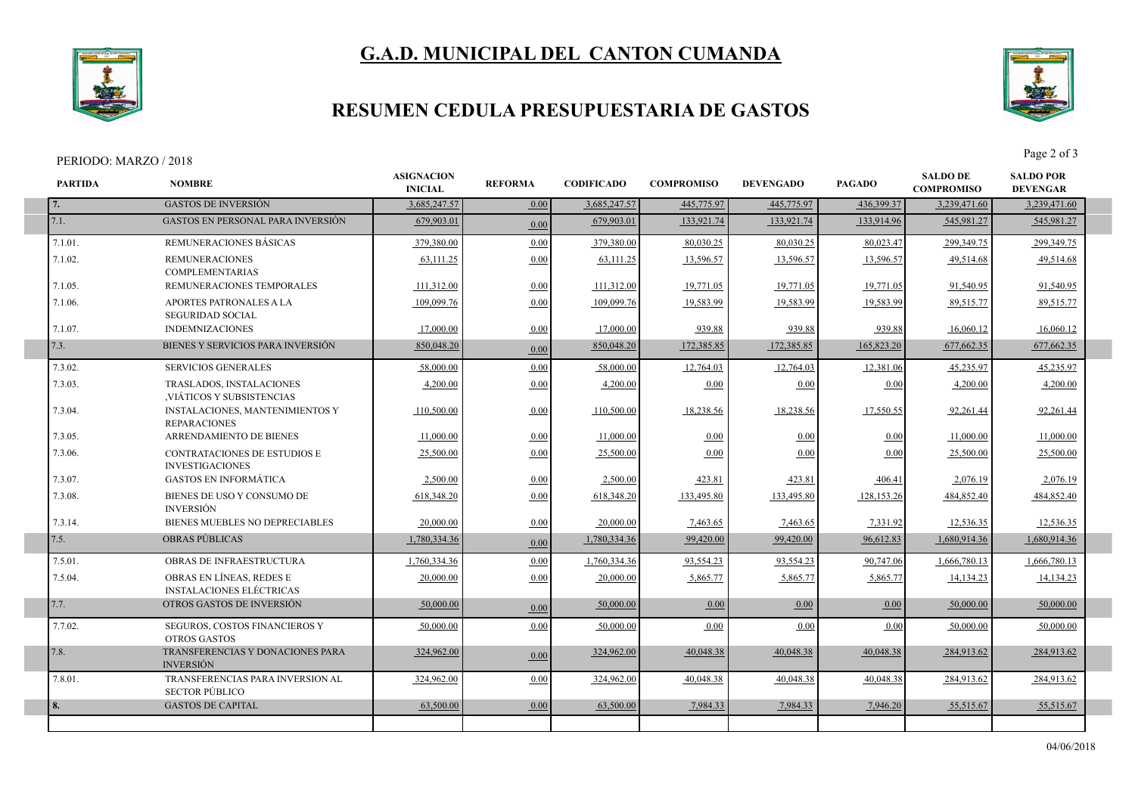# **G.A.D. MUNICIPAL DEL CANTON CUMANDA**



### **RESUMEN CEDULA PRESUPUESTARIA DE GASTOS**

#### PERIODO: MARZO / 2018 Page 2 of 3

I

I

I



| <b>PARTIDA</b> | <b>NOMBRE</b>                                                 | <b>ASIGNACION</b><br><b>INICIAL</b> | <b>REFORMA</b> | <b>CODIFICADO</b> | <b>COMPROMISO</b> | <b>DEVENGADO</b> | <b>PAGADO</b> | <b>SALDO DE</b><br><b>COMPROMISO</b> | <b>SALDO POR</b><br><b>DEVENGAR</b> |
|----------------|---------------------------------------------------------------|-------------------------------------|----------------|-------------------|-------------------|------------------|---------------|--------------------------------------|-------------------------------------|
| 7.             | <b>GASTOS DE INVERSIÓN</b>                                    | 3,685,247.57                        | 0.00           | 3,685,247.57      | 445,775.97        | 445,775.97       | 436,399.37    | 3,239,471.60                         | 3,239,471.60                        |
| 7.1.           | <b>GASTOS EN PERSONAL PARA INVERSIÓN</b>                      | 679,903.01                          | 0.00           | 679,903.01        | 133,921.74        | 133,921.74       | 133,914.96    | 545,981.27                           | 545,981.27                          |
| 7.1.01.        | REMUNERACIONES BÁSICAS                                        | 379,380.00                          | 0.00           | 379,380.00        | 80,030.25         | 80.030.25        | 80.023.47     | 299,349.75                           | 299,349.75                          |
| 7.1.02.        | <b>REMUNERACIONES</b><br><b>COMPLEMENTARIAS</b>               | 63,111.25                           | 0.00           | 63,111.25         | 13,596.57         | 13,596.57        | 13,596.57     | 49.514.68                            | 49.514.68                           |
| 7.1.05.        | REMUNERACIONES TEMPORALES                                     | 111,312.00                          | 0.00           | 111,312.00        | 19,771.05         | 19,771.05        | 19,771.05     | 91.540.95                            | 91,540.95                           |
| 7.1.06.        | APORTES PATRONALES A LA<br><b>SEGURIDAD SOCIAL</b>            | 109,099.76                          | 0.00           | 109,099.76        | 19,583.99         | 19,583.99        | 19,583.99     | 89,515.77                            | 89,515.77                           |
| 7.1.07.        | <b>INDEMNIZACIONES</b>                                        | 17,000.00                           | 0.00           | 17,000.00         | 939.88            | 939.88           | 939.88        | 16,060.12                            | 16,060.12                           |
| 7.3.           | BIENES Y SERVICIOS PARA INVERSIÓN                             | 850,048.20                          | 0.00           | 850,048.20        | 172,385.85        | 172,385.85       | 165,823.20    | 677,662.35                           | 677,662.35                          |
| 7.3.02.        | <b>SERVICIOS GENERALES</b>                                    | 58,000.00                           | 0.00           | 58,000.00         | 12,764.03         | 12,764.03        | 12,381.06     | 45.235.97                            | 45.235.97                           |
| 7.3.03.        | TRASLADOS, INSTALACIONES<br>VIÁTICOS Y SUBSISTENCIAS          | 4,200.00                            | 0.00           | 4,200.00          | 0.00              | 0.00             | 0.00          | 4,200.00                             | 4,200.00                            |
| 7.3.04.        | <b>INSTALACIONES, MANTENIMIENTOS Y</b><br><b>REPARACIONES</b> | 110,500.00                          | 0.00           | 110,500.00        | 18,238.56         | 18,238.56        | 17,550.55     | 92,261.44                            | 92,261.44                           |
| 7.3.05.        | <b>ARRENDAMIENTO DE BIENES</b>                                | 11,000.00                           | 0.00           | 11,000.00         | 0.00              | 0.00             | 0.00          | 11,000.00                            | 11,000.00                           |
| 7.3.06.        | <b>CONTRATACIONES DE ESTUDIOS E</b><br><b>INVESTIGACIONES</b> | 25,500.00                           | 0.00           | 25,500.00         | 0.00              | 0.00             | 0.00          | 25,500.00                            | 25,500.00                           |
| 7.3.07.        | <b>GASTOS EN INFORMÁTICA</b>                                  | 2,500.00                            | 0.00           | 2,500.00          | 423.81            | 423.81           | 406.41        | 2,076.19                             | 2,076.19                            |
| 7.3.08.        | BIENES DE USO Y CONSUMO DE<br><b>INVERSIÓN</b>                | 618,348.20                          | 0.00           | 618,348.20        | 133,495.80        | 133,495.80       | 128,153.26    | 484,852.40                           | 484,852.40                          |
| 7.3.14.        | BIENES MUEBLES NO DEPRECIABLES                                | 20,000.00                           | 0.00           | 20,000.00         | 7,463.65          | 7,463.65         | 7,331.92      | 12,536.35                            | 12,536.35                           |
| 7.5.           | <b>OBRAS PUBLICAS</b>                                         | 1,780,334.36                        | 0.00           | 1,780,334.36      | 99,420.00         | 99,420.00        | 96,612.83     | 1,680,914.36                         | 1,680,914.36                        |
| 7.5.01.        | OBRAS DE INFRAESTRUCTURA                                      | 1,760,334.36                        | 0.00           | 1,760,334.36      | 93,554.23         | 93,554.23        | 90,747.06     | 1,666,780.13                         | 1,666,780.13                        |
| 7.5.04.        | OBRAS EN LÍNEAS, REDES E<br><b>INSTALACIONES ELÉCTRICAS</b>   | 20,000.00                           | 0.00           | 20,000.00         | 5,865.77          | 5,865.77         | 5,865.77      | 14,134.23                            | 14,134.23                           |
| 7.7.           | OTROS GASTOS DE INVERSIÓN                                     | 50,000.00                           | 0.00           | 50,000.00         | 0.00              | 0.00             | 0.00          | 50,000.00                            | 50,000.00                           |
| 7.7.02.        | SEGUROS, COSTOS FINANCIEROS Y<br><b>OTROS GASTOS</b>          | 50,000.00                           | 0.00           | 50,000.00         | 0.00              | 0.00             | 0.00          | 50,000,00                            | 50,000.00                           |
| 7.8.           | TRANSFERENCIAS Y DONACIONES PARA<br><b>INVERSIÓN</b>          | 324,962.00                          | 0.00           | 324,962.00        | 40.048.38         | 40.048.38        | 40.048.38     | 284,913.62                           | 284,913.62                          |
| 7.8.01.        | TRANSFERENCIAS PARA INVERSION AL<br><b>SECTOR PÚBLICO</b>     | 324,962.00                          | 0.00           | 324,962.00        | 40.048.38         | 40.048.38        | 40.048.38     | 284.913.62                           | 284,913.62                          |
| 8.             | <b>GASTOS DE CAPITAL</b>                                      | 63,500.00                           | 0.00           | 63,500.00         | 7,984.33          | 7,984.33         | 7,946.20      | 55,515.67                            | 55,515.67                           |
|                |                                                               |                                     |                |                   |                   |                  |               |                                      |                                     |